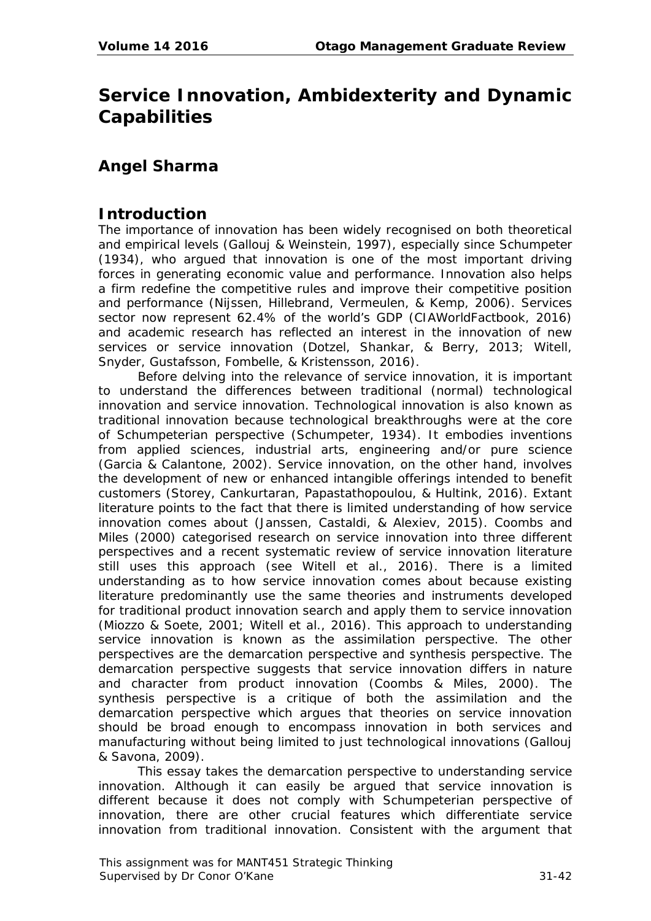# **Service Innovation, Ambidexterity and Dynamic Capabilities**

## **Angel Sharma**

## **Introduction**

The importance of innovation has been widely recognised on both theoretical and empirical levels (Gallouj & Weinstein, 1997), especially since Schumpeter (1934), who argued that innovation is one of the most important driving forces in generating economic value and performance. Innovation also helps a firm redefine the competitive rules and improve their competitive position and performance (Nijssen, Hillebrand, Vermeulen, & Kemp, 2006). Services sector now represent 62.4% of the world's GDP (CIAWorldFactbook, 2016) and academic research has reflected an interest in the innovation of new services or service innovation (Dotzel, Shankar, & Berry, 2013; Witell, Snyder, Gustafsson, Fombelle, & Kristensson, 2016).

Before delving into the relevance of service innovation, it is important to understand the differences between traditional (normal) technological innovation and service innovation. Technological innovation is also known as traditional innovation because technological breakthroughs were at the core of Schumpeterian perspective (Schumpeter, 1934). It embodies inventions from applied sciences, industrial arts, engineering and/or pure science (Garcia & Calantone, 2002). Service innovation, on the other hand, involves the development of new or enhanced intangible offerings intended to benefit customers (Storey, Cankurtaran, Papastathopoulou, & Hultink, 2016). Extant literature points to the fact that there is limited understanding of how service innovation comes about (Janssen, Castaldi, & Alexiev, 2015). Coombs and Miles (2000) categorised research on service innovation into three different perspectives and a recent systematic review of service innovation literature still uses this approach (see Witell et al., 2016). There is a limited understanding as to how service innovation comes about because existing literature predominantly use the same theories and instruments developed for traditional product innovation search and apply them to service innovation (Miozzo & Soete, 2001; Witell et al., 2016). This approach to understanding service innovation is known as the assimilation perspective. The other perspectives are the demarcation perspective and synthesis perspective. The demarcation perspective suggests that service innovation differs in nature and character from product innovation (Coombs & Miles, 2000). The synthesis perspective is a critique of both the assimilation and the demarcation perspective which argues that theories on service innovation should be broad enough to encompass innovation in both services and manufacturing without being limited to just technological innovations (Gallouj & Savona, 2009).

This essay takes the demarcation perspective to understanding service innovation. Although it can easily be argued that service innovation is different because it does not comply with Schumpeterian perspective of innovation, there are other crucial features which differentiate service innovation from traditional innovation. Consistent with the argument that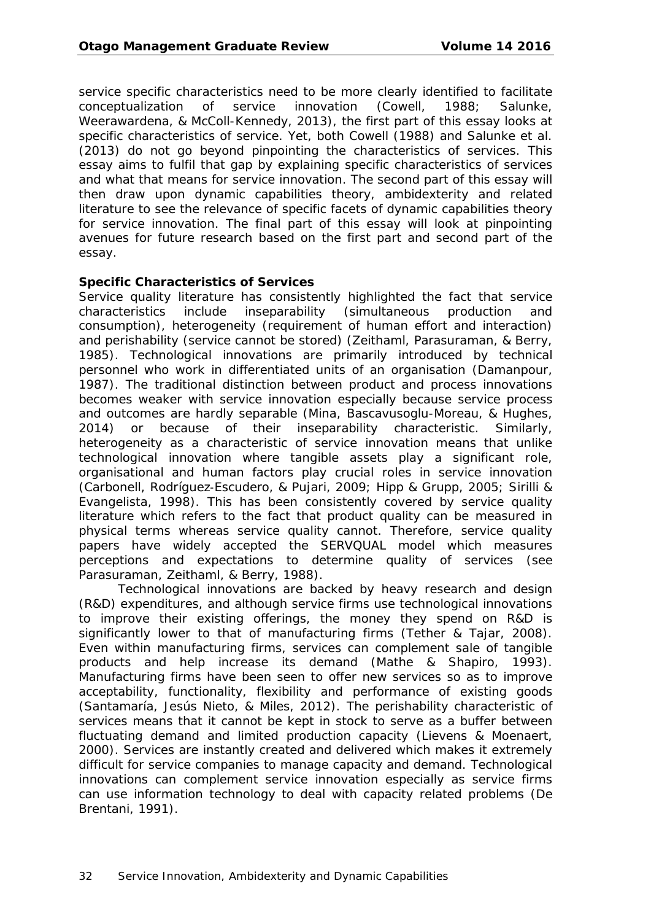service specific characteristics need to be more clearly identified to facilitate conceptualization of service innovation (Cowell, 1988; Salunke, Weerawardena, & McColl-Kennedy, 2013), the first part of this essay looks at specific characteristics of service. Yet, both Cowell (1988) and Salunke et al. (2013) do not go beyond pinpointing the characteristics of services. This essay aims to fulfil that gap by explaining specific characteristics of services and what that means for service innovation. The second part of this essay will then draw upon dynamic capabilities theory, ambidexterity and related literature to see the relevance of specific facets of dynamic capabilities theory for service innovation. The final part of this essay will look at pinpointing avenues for future research based on the first part and second part of the essay.

#### **Specific Characteristics of Services**

Service quality literature has consistently highlighted the fact that service characteristics include inseparability (simultaneous production and consumption), heterogeneity (requirement of human effort and interaction) and perishability (service cannot be stored) (Zeithaml, Parasuraman, & Berry, 1985). Technological innovations are primarily introduced by technical personnel who work in differentiated units of an organisation (Damanpour, 1987). The traditional distinction between product and process innovations becomes weaker with service innovation especially because service process and outcomes are hardly separable (Mina, Bascavusoglu-Moreau, & Hughes, 2014) or because of their inseparability characteristic. Similarly, heterogeneity as a characteristic of service innovation means that unlike technological innovation where tangible assets play a significant role, organisational and human factors play crucial roles in service innovation (Carbonell, Rodríguez‐Escudero, & Pujari, 2009; Hipp & Grupp, 2005; Sirilli & Evangelista, 1998). This has been consistently covered by service quality literature which refers to the fact that product quality can be measured in physical terms whereas service quality cannot. Therefore, service quality papers have widely accepted the SERVQUAL model which measures perceptions and expectations to determine quality of services (see Parasuraman, Zeithaml, & Berry, 1988).

Technological innovations are backed by heavy research and design (R&D) expenditures, and although service firms use technological innovations to improve their existing offerings, the money they spend on R&D is significantly lower to that of manufacturing firms (Tether & Tajar, 2008). Even within manufacturing firms, services can complement sale of tangible products and help increase its demand (Mathe & Shapiro, 1993). Manufacturing firms have been seen to offer new services so as to improve acceptability, functionality, flexibility and performance of existing goods (Santamaría, Jesús Nieto, & Miles, 2012). The perishability characteristic of services means that it cannot be kept in stock to serve as a buffer between fluctuating demand and limited production capacity (Lievens & Moenaert, 2000). Services are instantly created and delivered which makes it extremely difficult for service companies to manage capacity and demand. Technological innovations can complement service innovation especially as service firms can use information technology to deal with capacity related problems (De Brentani, 1991).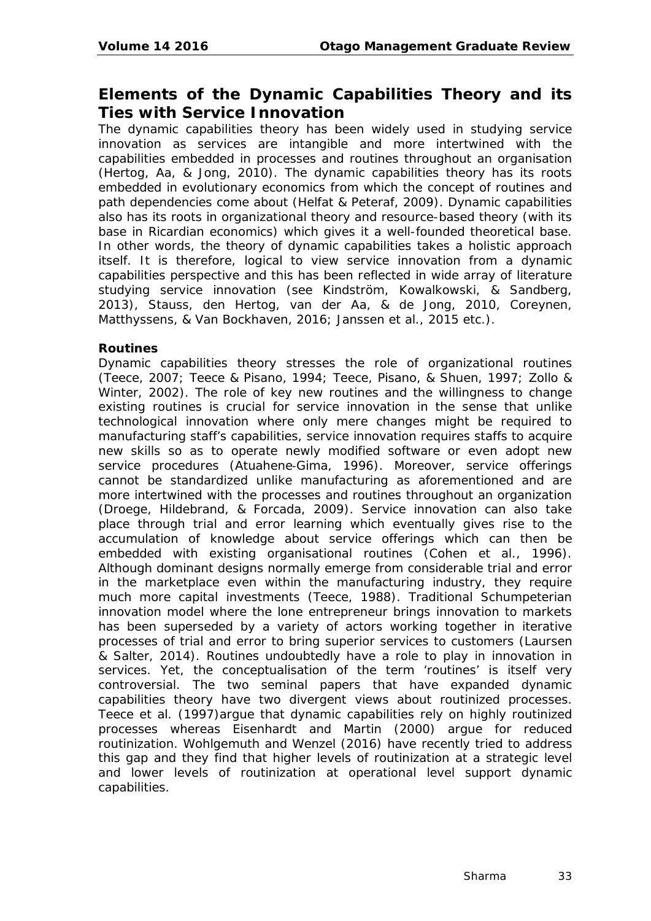## **Elements of the Dynamic Capabilities Theory and its Ties with Service Innovation**

The dynamic capabilities theory has been widely used in studying service innovation as services are intangible and more intertwined with the capabilities embedded in processes and routines throughout an organisation (Hertog, Aa, & Jong, 2010). The dynamic capabilities theory has its roots embedded in evolutionary economics from which the concept of routines and path dependencies come about (Helfat & Peteraf, 2009). Dynamic capabilities also has its roots in organizational theory and resource-based theory (with its base in Ricardian economics) which gives it a well-founded theoretical base. In other words, the theory of dynamic capabilities takes a holistic approach itself. It is therefore, logical to view service innovation from a dynamic capabilities perspective and this has been reflected in wide array of literature studying service innovation (see Kindström, Kowalkowski, & Sandberg, 2013), Stauss, den Hertog, van der Aa, & de Jong, 2010, Coreynen, Matthyssens, & Van Bockhaven, 2016; Janssen et al., 2015 etc.).

#### **Routines**

Dynamic capabilities theory stresses the role of organizational routines (Teece, 2007; Teece & Pisano, 1994; Teece, Pisano, & Shuen, 1997; Zollo & Winter, 2002). The role of key new routines and the willingness to change existing routines is crucial for service innovation in the sense that unlike technological innovation where only mere changes might be required to manufacturing staff's capabilities, service innovation requires staffs to acquire new skills so as to operate newly modified software or even adopt new service procedures (Atuahene-Gima, 1996). Moreover, service offerings cannot be standardized unlike manufacturing as aforementioned and are more intertwined with the processes and routines throughout an organization (Droege, Hildebrand, & Forcada, 2009). Service innovation can also take place through trial and error learning which eventually gives rise to the accumulation of knowledge about service offerings which can then be embedded with existing organisational routines (Cohen et al., 1996). Although dominant designs normally emerge from considerable trial and error in the marketplace even within the manufacturing industry, they require much more capital investments (Teece, 1988). Traditional Schumpeterian innovation model where the lone entrepreneur brings innovation to markets has been superseded by a variety of actors working together in iterative processes of trial and error to bring superior services to customers (Laursen & Salter, 2014). Routines undoubtedly have a role to play in innovation in services. Yet, the conceptualisation of the term 'routines' is itself very controversial. The two seminal papers that have expanded dynamic capabilities theory have two divergent views about routinized processes. Teece et al. (1997)argue that dynamic capabilities rely on highly routinized processes whereas Eisenhardt and Martin (2000) argue for reduced routinization. Wohlgemuth and Wenzel (2016) have recently tried to address this gap and they find that higher levels of routinization at a strategic level and lower levels of routinization at operational level support dynamic capabilities.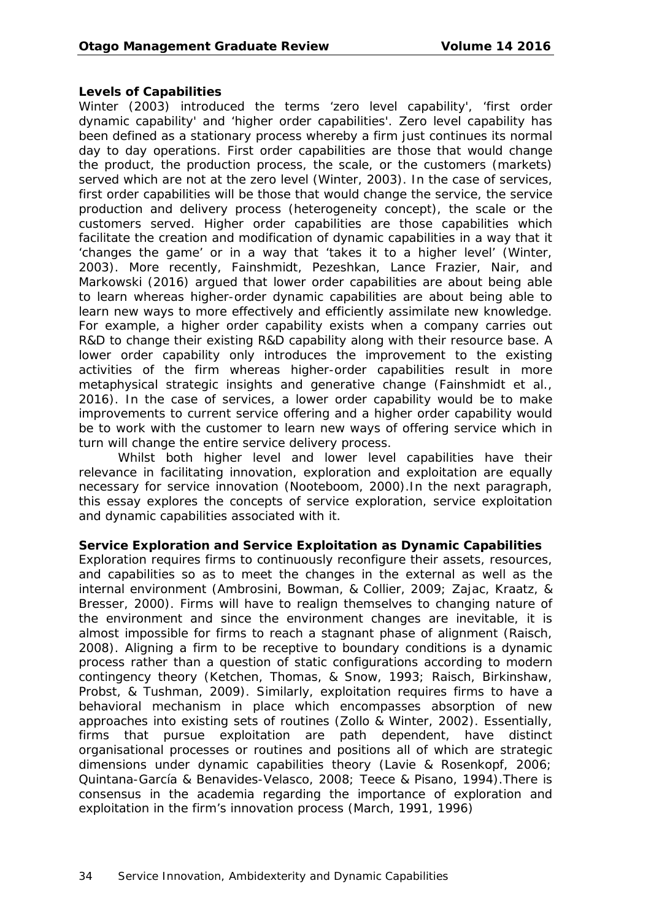#### **Levels of Capabilities**

Winter (2003) introduced the terms 'zero level capability', 'first order dynamic capability' and 'higher order capabilities'. Zero level capability has been defined as a stationary process whereby a firm just continues its normal day to day operations. First order capabilities are those that would change the product, the production process, the scale, or the customers (markets) served which are not at the zero level (Winter, 2003). In the case of services, first order capabilities will be those that would change the service, the service production and delivery process (heterogeneity concept), the scale or the customers served. Higher order capabilities are those capabilities which facilitate the creation and modification of dynamic capabilities in a way that it 'changes the game' or in a way that 'takes it to a higher level' (Winter, 2003). More recently, Fainshmidt, Pezeshkan, Lance Frazier, Nair, and Markowski (2016) argued that lower order capabilities are about being able to learn whereas higher-order dynamic capabilities are about being able to learn new ways to more effectively and efficiently assimilate new knowledge. For example, a higher order capability exists when a company carries out R&D to change their existing R&D capability along with their resource base. A lower order capability only introduces the improvement to the existing activities of the firm whereas higher-order capabilities result in more metaphysical strategic insights and generative change (Fainshmidt et al., 2016). In the case of services, a lower order capability would be to make improvements to current service offering and a higher order capability would be to work with the customer to learn new ways of offering service which in turn will change the entire service delivery process.

Whilst both higher level and lower level capabilities have their relevance in facilitating innovation, exploration and exploitation are equally necessary for service innovation (Nooteboom, 2000).In the next paragraph, this essay explores the concepts of service exploration, service exploitation and dynamic capabilities associated with it.

#### **Service Exploration and Service Exploitation as Dynamic Capabilities**

Exploration requires firms to continuously reconfigure their assets, resources, and capabilities so as to meet the changes in the external as well as the internal environment (Ambrosini, Bowman, & Collier, 2009; Zajac, Kraatz, & Bresser, 2000). Firms will have to realign themselves to changing nature of the environment and since the environment changes are inevitable, it is almost impossible for firms to reach a stagnant phase of alignment (Raisch, 2008). Aligning a firm to be receptive to boundary conditions is a dynamic process rather than a question of static configurations according to modern contingency theory (Ketchen, Thomas, & Snow, 1993; Raisch, Birkinshaw, Probst, & Tushman, 2009). Similarly, exploitation requires firms to have a behavioral mechanism in place which encompasses absorption of new approaches into existing sets of routines (Zollo & Winter, 2002). Essentially, firms that pursue exploitation are path dependent, have distinct organisational processes or routines and positions all of which are strategic dimensions under dynamic capabilities theory (Lavie & Rosenkopf, 2006; Quintana-García & Benavides-Velasco, 2008; Teece & Pisano, 1994).There is consensus in the academia regarding the importance of exploration and exploitation in the firm's innovation process (March, 1991, 1996)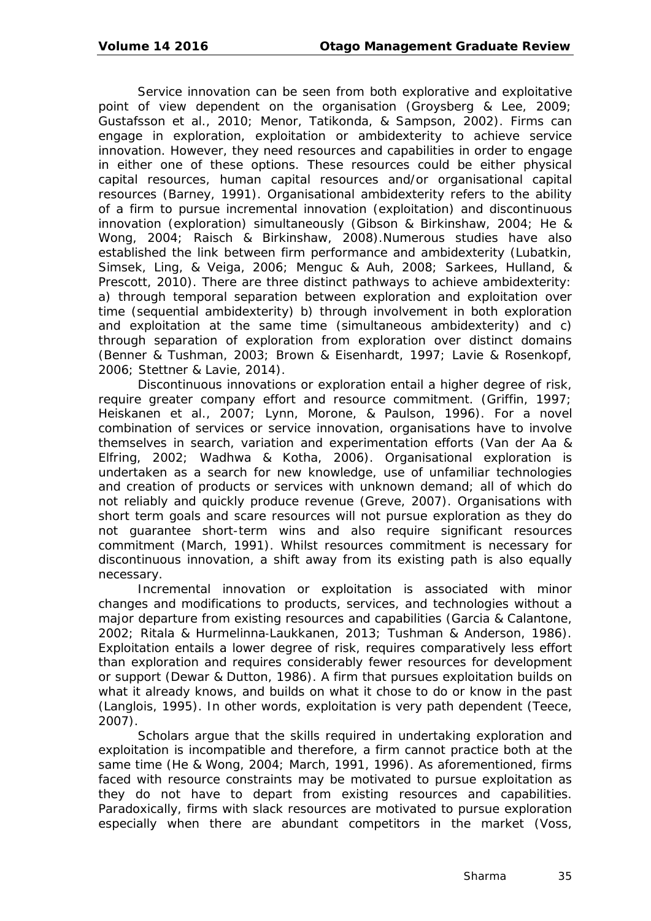Service innovation can be seen from both explorative and exploitative point of view dependent on the organisation (Groysberg & Lee, 2009; Gustafsson et al., 2010; Menor, Tatikonda, & Sampson, 2002). Firms can engage in exploration, exploitation or ambidexterity to achieve service innovation. However, they need resources and capabilities in order to engage in either one of these options. These resources could be either physical capital resources, human capital resources and/or organisational capital resources (Barney, 1991). Organisational ambidexterity refers to the ability of a firm to pursue incremental innovation (exploitation) and discontinuous innovation (exploration) simultaneously (Gibson & Birkinshaw, 2004; He & Wong, 2004; Raisch & Birkinshaw, 2008).Numerous studies have also established the link between firm performance and ambidexterity (Lubatkin, Simsek, Ling, & Veiga, 2006; Menguc & Auh, 2008; Sarkees, Hulland, & Prescott, 2010). There are three distinct pathways to achieve ambidexterity: a) through temporal separation between exploration and exploitation over time (sequential ambidexterity) b) through involvement in both exploration and exploitation at the same time (simultaneous ambidexterity) and c) through separation of exploration from exploration over distinct domains (Benner & Tushman, 2003; Brown & Eisenhardt, 1997; Lavie & Rosenkopf, 2006; Stettner & Lavie, 2014).

Discontinuous innovations or exploration entail a higher degree of risk, require greater company effort and resource commitment. (Griffin, 1997; Heiskanen et al., 2007; Lynn, Morone, & Paulson, 1996). For a novel combination of services or service innovation, organisations have to involve themselves in search, variation and experimentation efforts (Van der Aa & Elfring, 2002; Wadhwa & Kotha, 2006). Organisational exploration is undertaken as a search for new knowledge, use of unfamiliar technologies and creation of products or services with unknown demand; all of which do not reliably and quickly produce revenue (Greve, 2007). Organisations with short term goals and scare resources will not pursue exploration as they do not guarantee short-term wins and also require significant resources commitment (March, 1991). Whilst resources commitment is necessary for discontinuous innovation, a shift away from its existing path is also equally necessary.

Incremental innovation or exploitation is associated with minor changes and modifications to products, services, and technologies without a major departure from existing resources and capabilities (Garcia & Calantone, 2002; Ritala & Hurmelinna‐Laukkanen, 2013; Tushman & Anderson, 1986). Exploitation entails a lower degree of risk, requires comparatively less effort than exploration and requires considerably fewer resources for development or support (Dewar & Dutton, 1986). A firm that pursues exploitation builds on what it already knows, and builds on what it chose to do or know in the past (Langlois, 1995). In other words, exploitation is very path dependent (Teece, 2007).

Scholars argue that the skills required in undertaking exploration and exploitation is incompatible and therefore, a firm cannot practice both at the same time (He & Wong, 2004; March, 1991, 1996). As aforementioned, firms faced with resource constraints may be motivated to pursue exploitation as they do not have to depart from existing resources and capabilities. Paradoxically, firms with slack resources are motivated to pursue exploration especially when there are abundant competitors in the market (Voss,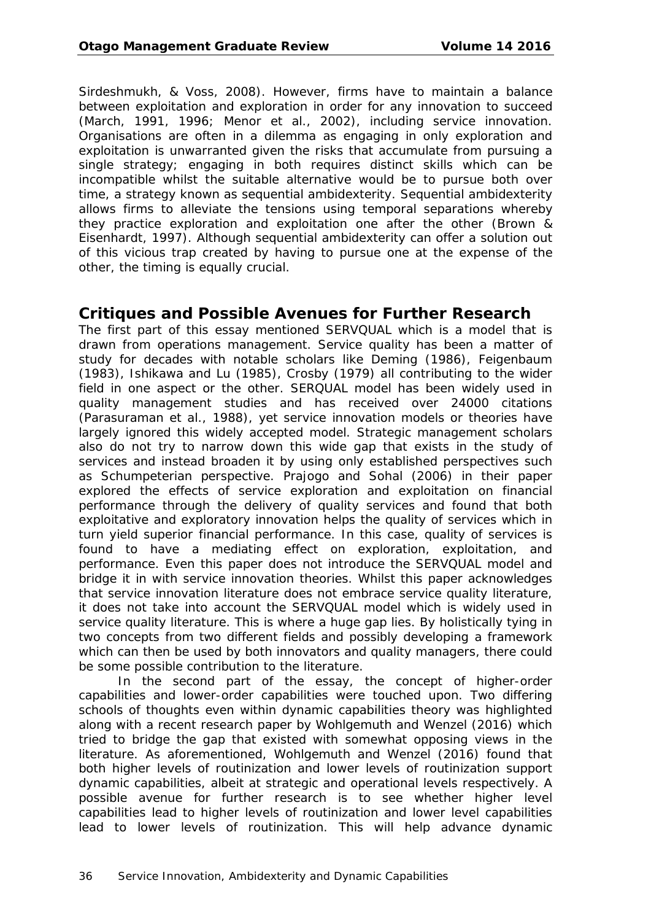Sirdeshmukh, & Voss, 2008). However, firms have to maintain a balance between exploitation and exploration in order for any innovation to succeed (March, 1991, 1996; Menor et al., 2002), including service innovation. Organisations are often in a dilemma as engaging in only exploration and exploitation is unwarranted given the risks that accumulate from pursuing a single strategy; engaging in both requires distinct skills which can be incompatible whilst the suitable alternative would be to pursue both over time, a strategy known as sequential ambidexterity. Sequential ambidexterity allows firms to alleviate the tensions using temporal separations whereby they practice exploration and exploitation one after the other (Brown & Eisenhardt, 1997). Although sequential ambidexterity can offer a solution out of this vicious trap created by having to pursue one at the expense of the other, the timing is equally crucial.

### **Critiques and Possible Avenues for Further Research**

The first part of this essay mentioned SERVQUAL which is a model that is drawn from operations management. Service quality has been a matter of study for decades with notable scholars like Deming (1986), Feigenbaum (1983), Ishikawa and Lu (1985), Crosby (1979) all contributing to the wider field in one aspect or the other. SERQUAL model has been widely used in quality management studies and has received over 24000 citations (Parasuraman et al., 1988), yet service innovation models or theories have largely ignored this widely accepted model. Strategic management scholars also do not try to narrow down this wide gap that exists in the study of services and instead broaden it by using only established perspectives such as Schumpeterian perspective. Prajogo and Sohal (2006) in their paper explored the effects of service exploration and exploitation on financial performance through the delivery of quality services and found that both exploitative and exploratory innovation helps the quality of services which in turn yield superior financial performance. In this case, quality of services is found to have a mediating effect on exploration, exploitation, and performance. Even this paper does not introduce the SERVQUAL model and bridge it in with service innovation theories. Whilst this paper acknowledges that service innovation literature does not embrace service quality literature, it does not take into account the SERVQUAL model which is widely used in service quality literature. This is where a huge gap lies. By holistically tying in two concepts from two different fields and possibly developing a framework which can then be used by both innovators and quality managers, there could be some possible contribution to the literature.

In the second part of the essay, the concept of higher-order capabilities and lower-order capabilities were touched upon. Two differing schools of thoughts even within dynamic capabilities theory was highlighted along with a recent research paper by Wohlgemuth and Wenzel (2016) which tried to bridge the gap that existed with somewhat opposing views in the literature. As aforementioned, Wohlgemuth and Wenzel (2016) found that both higher levels of routinization and lower levels of routinization support dynamic capabilities, albeit at strategic and operational levels respectively. A possible avenue for further research is to see whether higher level capabilities lead to higher levels of routinization and lower level capabilities lead to lower levels of routinization. This will help advance dynamic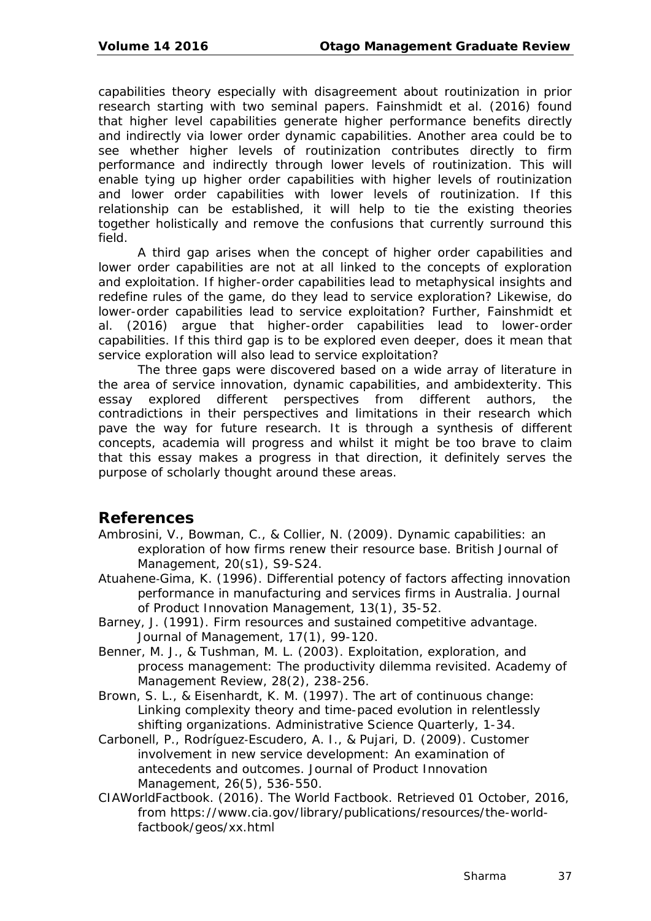capabilities theory especially with disagreement about routinization in prior research starting with two seminal papers. Fainshmidt et al. (2016) found that higher level capabilities generate higher performance benefits directly and indirectly via lower order dynamic capabilities. Another area could be to see whether higher levels of routinization contributes directly to firm performance and indirectly through lower levels of routinization. This will enable tying up higher order capabilities with higher levels of routinization and lower order capabilities with lower levels of routinization. If this relationship can be established, it will help to tie the existing theories together holistically and remove the confusions that currently surround this field.

A third gap arises when the concept of higher order capabilities and lower order capabilities are not at all linked to the concepts of exploration and exploitation. If higher-order capabilities lead to metaphysical insights and redefine rules of the game, do they lead to service exploration? Likewise, do lower-order capabilities lead to service exploitation? Further, Fainshmidt et al. (2016) argue that higher-order capabilities lead to lower-order capabilities. If this third gap is to be explored even deeper, does it mean that service exploration will also lead to service exploitation?

The three gaps were discovered based on a wide array of literature in the area of service innovation, dynamic capabilities, and ambidexterity. This essay explored different perspectives from different authors, the contradictions in their perspectives and limitations in their research which pave the way for future research. It is through a synthesis of different concepts, academia will progress and whilst it might be too brave to claim that this essay makes a progress in that direction, it definitely serves the purpose of scholarly thought around these areas.

## **References**

- Ambrosini, V., Bowman, C., & Collier, N. (2009). Dynamic capabilities: an exploration of how firms renew their resource base. *British Journal of Management, 20*(s1), S9-S24.
- Atuahene‐Gima, K. (1996). Differential potency of factors affecting innovation performance in manufacturing and services firms in Australia. *Journal of Product Innovation Management, 13*(1), 35-52.
- Barney, J. (1991). Firm resources and sustained competitive advantage. *Journal of Management, 17*(1), 99-120.
- Benner, M. J., & Tushman, M. L. (2003). Exploitation, exploration, and process management: The productivity dilemma revisited. *Academy of Management Review, 28*(2), 238-256.
- Brown, S. L., & Eisenhardt, K. M. (1997). The art of continuous change: Linking complexity theory and time-paced evolution in relentlessly shifting organizations. *Administrative Science Quarterly*, 1-34.
- Carbonell, P., Rodríguez‐Escudero, A. I., & Pujari, D. (2009). Customer involvement in new service development: An examination of antecedents and outcomes. *Journal of Product Innovation Management, 26*(5), 536-550.
- CIAWorldFactbook. (2016). The World Factbook. Retrieved 01 October, 2016, from https://www.cia.gov/library/publications/resources/the-worldfactbook/geos/xx.html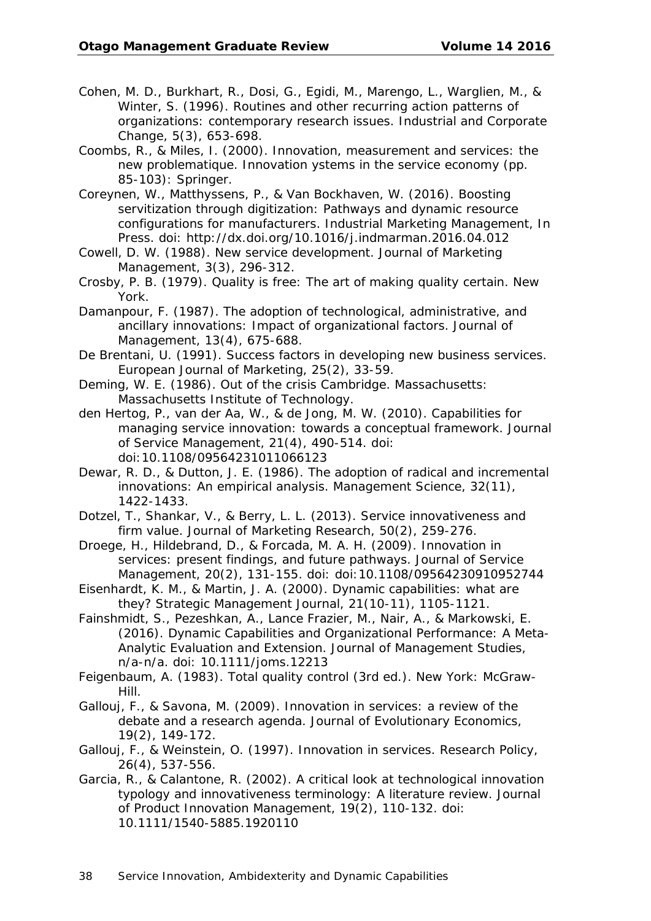- Cohen, M. D., Burkhart, R., Dosi, G., Egidi, M., Marengo, L., Warglien, M., & Winter, S. (1996). Routines and other recurring action patterns of organizations: contemporary research issues. *Industrial and Corporate Change, 5*(3), 653-698.
- Coombs, R., & Miles, I. (2000). Innovation, measurement and services: the new problematique. *Innovation ystems in the service economy* (pp. 85-103): Springer.
- Coreynen, W., Matthyssens, P., & Van Bockhaven, W. (2016). Boosting servitization through digitization: Pathways and dynamic resource configurations for manufacturers. *Industrial Marketing Management, In Press*. doi: http://dx.doi.org/10.1016/j.indmarman.2016.04.012
- Cowell, D. W. (1988). New service development. *Journal of Marketing Management, 3*(3), 296-312.
- Crosby, P. B. (1979). Quality is free: The art of making quality certain. *New York*.
- Damanpour, F. (1987). The adoption of technological, administrative, and ancillary innovations: Impact of organizational factors. *Journal of Management, 13*(4), 675-688.
- De Brentani, U. (1991). Success factors in developing new business services. *European Journal of Marketing, 25*(2), 33-59.
- Deming, W. E. (1986). Out of the crisis Cambridge. *Massachusetts: Massachusetts Institute of Technology*.
- den Hertog, P., van der Aa, W., & de Jong, M. W. (2010). Capabilities for managing service innovation: towards a conceptual framework. *Journal of Service Management, 21*(4), 490-514. doi: doi:10.1108/09564231011066123
- Dewar, R. D., & Dutton, J. E. (1986). The adoption of radical and incremental innovations: An empirical analysis. *Management Science, 32*(11), 1422-1433.
- Dotzel, T., Shankar, V., & Berry, L. L. (2013). Service innovativeness and firm value. *Journal of Marketing Research, 50*(2), 259-276.
- Droege, H., Hildebrand, D., & Forcada, M. A. H. (2009). Innovation in services: present findings, and future pathways. *Journal of Service Management, 20*(2), 131-155. doi: doi:10.1108/09564230910952744
- Eisenhardt, K. M., & Martin, J. A. (2000). Dynamic capabilities: what are they? *Strategic Management Journal, 21*(10-11), 1105-1121.
- Fainshmidt, S., Pezeshkan, A., Lance Frazier, M., Nair, A., & Markowski, E. (2016). Dynamic Capabilities and Organizational Performance: A Meta-Analytic Evaluation and Extension. *Journal of Management Studies*, n/a-n/a. doi: 10.1111/joms.12213
- Feigenbaum, A. (1983). *Total quality control* (3rd ed.). New York: McGraw-Hill.
- Gallouj, F., & Savona, M. (2009). Innovation in services: a review of the debate and a research agenda. *Journal of Evolutionary Economics, 19*(2), 149-172.
- Gallouj, F., & Weinstein, O. (1997). Innovation in services. *Research Policy, 26*(4), 537-556.
- Garcia, R., & Calantone, R. (2002). A critical look at technological innovation typology and innovativeness terminology: A literature review. *Journal of Product Innovation Management, 19*(2), 110-132. doi: 10.1111/1540-5885.1920110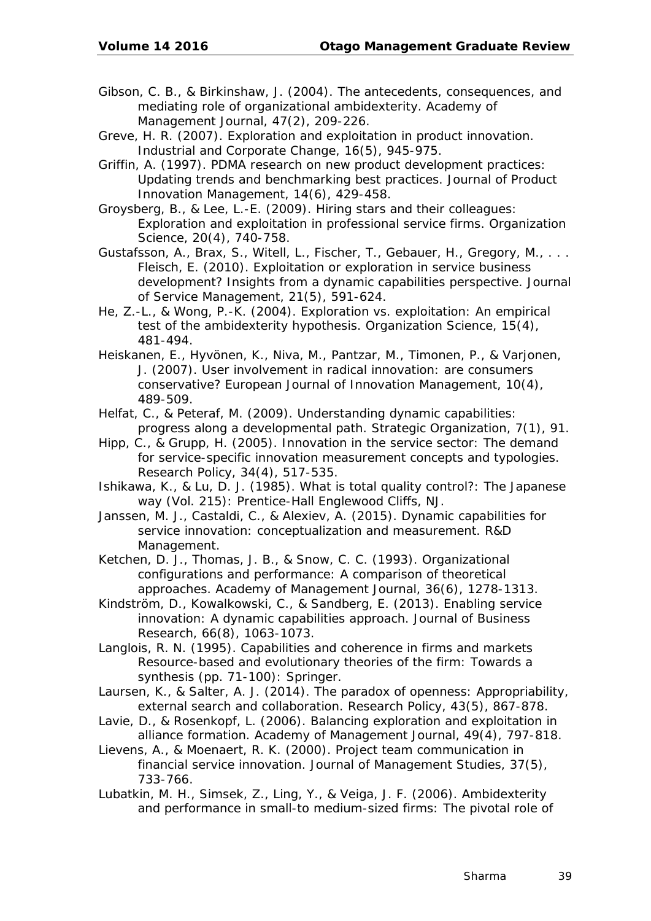- Gibson, C. B., & Birkinshaw, J. (2004). The antecedents, consequences, and mediating role of organizational ambidexterity. *Academy of Management Journal, 47*(2), 209-226.
- Greve, H. R. (2007). Exploration and exploitation in product innovation. *Industrial and Corporate Change, 16*(5), 945-975.
- Griffin, A. (1997). PDMA research on new product development practices: Updating trends and benchmarking best practices. *Journal of Product Innovation Management, 14*(6), 429-458.
- Groysberg, B., & Lee, L.-E. (2009). Hiring stars and their colleagues: Exploration and exploitation in professional service firms. *Organization Science, 20*(4), 740-758.
- Gustafsson, A., Brax, S., Witell, L., Fischer, T., Gebauer, H., Gregory, M., . . . Fleisch, E. (2010). Exploitation or exploration in service business development? Insights from a dynamic capabilities perspective. *Journal of Service Management, 21*(5), 591-624.
- He, Z.-L., & Wong, P.-K. (2004). Exploration vs. exploitation: An empirical test of the ambidexterity hypothesis. *Organization Science, 15*(4), 481-494.
- Heiskanen, E., Hyvönen, K., Niva, M., Pantzar, M., Timonen, P., & Varjonen, J. (2007). User involvement in radical innovation: are consumers conservative? *European Journal of Innovation Management, 10*(4), 489-509.
- Helfat, C., & Peteraf, M. (2009). Understanding dynamic capabilities: progress along a developmental path. *Strategic Organization, 7*(1), 91.
- Hipp, C., & Grupp, H. (2005). Innovation in the service sector: The demand for service-specific innovation measurement concepts and typologies. *Research Policy, 34*(4), 517-535.
- Ishikawa, K., & Lu, D. J. (1985). *What is total quality control?: The Japanese way* (Vol. 215): Prentice-Hall Englewood Cliffs, NJ.
- Janssen, M. J., Castaldi, C., & Alexiev, A. (2015). Dynamic capabilities for service innovation: conceptualization and measurement. *R&D Management*.
- Ketchen, D. J., Thomas, J. B., & Snow, C. C. (1993). Organizational configurations and performance: A comparison of theoretical approaches. *Academy of Management Journal, 36*(6), 1278-1313.
- Kindström, D., Kowalkowski, C., & Sandberg, E. (2013). Enabling service innovation: A dynamic capabilities approach. *Journal of Business Research, 66*(8), 1063-1073.
- Langlois, R. N. (1995). Capabilities and coherence in firms and markets *Resource-based and evolutionary theories of the firm: Towards a synthesis* (pp. 71-100): Springer.
- Laursen, K., & Salter, A. J. (2014). The paradox of openness: Appropriability, external search and collaboration. *Research Policy, 43*(5), 867-878.
- Lavie, D., & Rosenkopf, L. (2006). Balancing exploration and exploitation in alliance formation. *Academy of Management Journal, 49*(4), 797-818.
- Lievens, A., & Moenaert, R. K. (2000). Project team communication in financial service innovation. *Journal of Management Studies, 37*(5), 733-766.
- Lubatkin, M. H., Simsek, Z., Ling, Y., & Veiga, J. F. (2006). Ambidexterity and performance in small-to medium-sized firms: The pivotal role of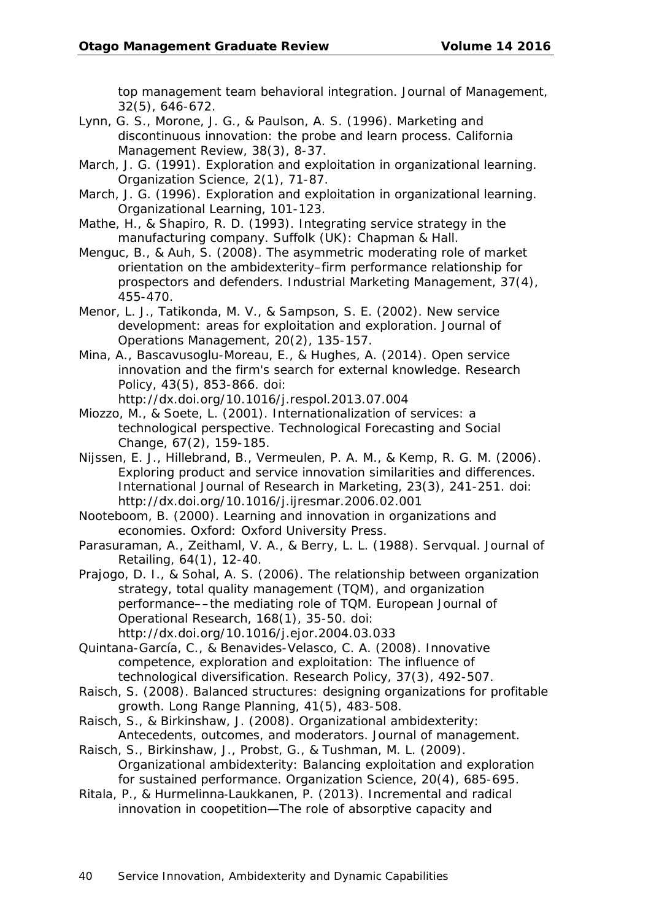top management team behavioral integration. *Journal of Management, 32*(5), 646-672.

- Lynn, G. S., Morone, J. G., & Paulson, A. S. (1996). Marketing and discontinuous innovation: the probe and learn process. *California Management Review, 38*(3), 8-37.
- March, J. G. (1991). Exploration and exploitation in organizational learning. *Organization Science, 2*(1), 71-87.
- March, J. G. (1996). Exploration and exploitation in organizational learning. *Organizational Learning*, 101-123.
- Mathe, H., & Shapiro, R. D. (1993). *Integrating service strategy in the manufacturing company*. Suffolk (UK): Chapman & Hall.
- Menguc, B., & Auh, S. (2008). The asymmetric moderating role of market orientation on the ambidexterity–firm performance relationship for prospectors and defenders. *Industrial Marketing Management, 37*(4), 455-470.
- Menor, L. J., Tatikonda, M. V., & Sampson, S. E. (2002). New service development: areas for exploitation and exploration. *Journal of Operations Management, 20*(2), 135-157.
- Mina, A., Bascavusoglu-Moreau, E., & Hughes, A. (2014). Open service innovation and the firm's search for external knowledge. *Research Policy, 43*(5), 853-866. doi:

http://dx.doi.org/10.1016/j.respol.2013.07.004

- Miozzo, M., & Soete, L. (2001). Internationalization of services: a technological perspective. *Technological Forecasting and Social Change, 67*(2), 159-185.
- Nijssen, E. J., Hillebrand, B., Vermeulen, P. A. M., & Kemp, R. G. M. (2006). Exploring product and service innovation similarities and differences. *International Journal of Research in Marketing, 23*(3), 241-251. doi: http://dx.doi.org/10.1016/j.ijresmar.2006.02.001
- Nooteboom, B. (2000). *Learning and innovation in organizations and economies*. Oxford: Oxford University Press.
- Parasuraman, A., Zeithaml, V. A., & Berry, L. L. (1988). Servqual. *Journal of Retailing, 64*(1), 12-40.
- Prajogo, D. I., & Sohal, A. S. (2006). The relationship between organization strategy, total quality management (TQM), and organization performance––the mediating role of TQM. *European Journal of Operational Research, 168*(1), 35-50. doi: http://dx.doi.org/10.1016/j.ejor.2004.03.033
- Quintana-García, C., & Benavides-Velasco, C. A. (2008). Innovative competence, exploration and exploitation: The influence of technological diversification. *Research Policy, 37*(3), 492-507.
- Raisch, S. (2008). Balanced structures: designing organizations for profitable growth. *Long Range Planning, 41*(5), 483-508.
- Raisch, S., & Birkinshaw, J. (2008). Organizational ambidexterity: Antecedents, outcomes, and moderators. *Journal of management*.
- Raisch, S., Birkinshaw, J., Probst, G., & Tushman, M. L. (2009). Organizational ambidexterity: Balancing exploitation and exploration for sustained performance. *Organization Science, 20*(4), 685-695.
- Ritala, P., & Hurmelinna‐Laukkanen, P. (2013). Incremental and radical innovation in coopetition—The role of absorptive capacity and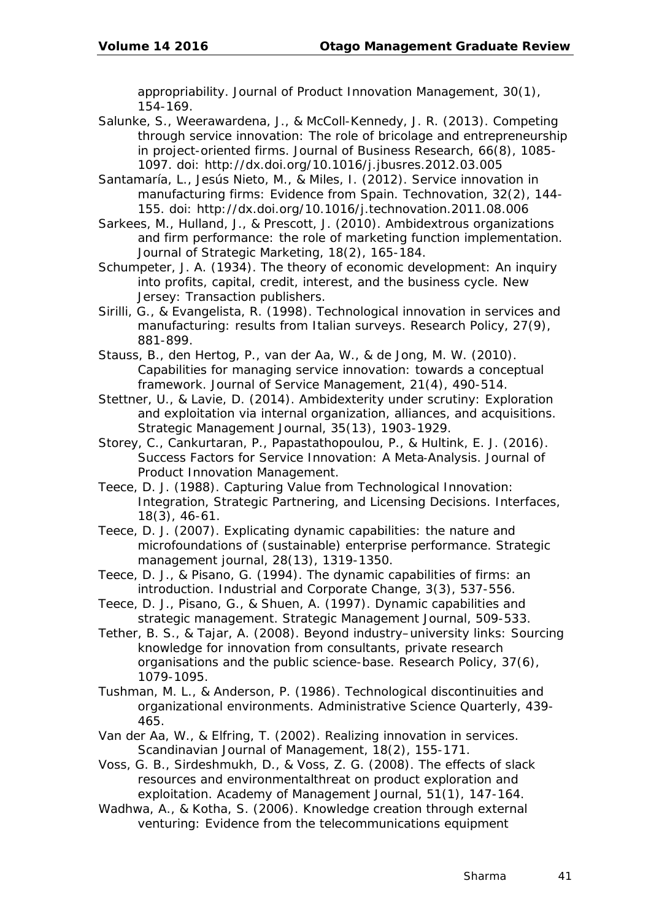appropriability. *Journal of Product Innovation Management, 30*(1), 154-169.

- Salunke, S., Weerawardena, J., & McColl-Kennedy, J. R. (2013). Competing through service innovation: The role of bricolage and entrepreneurship in project-oriented firms. *Journal of Business Research, 66*(8), 1085- 1097. doi: http://dx.doi.org/10.1016/j.jbusres.2012.03.005
- Santamaría, L., Jesús Nieto, M., & Miles, I. (2012). Service innovation in manufacturing firms: Evidence from Spain. *Technovation, 32*(2), 144- 155. doi: http://dx.doi.org/10.1016/j.technovation.2011.08.006
- Sarkees, M., Hulland, J., & Prescott, J. (2010). Ambidextrous organizations and firm performance: the role of marketing function implementation. *Journal of Strategic Marketing, 18*(2), 165-184.
- Schumpeter, J. A. (1934). *The theory of economic development: An inquiry into profits, capital, credit, interest, and the business cycle*. New Jersey: Transaction publishers.
- Sirilli, G., & Evangelista, R. (1998). Technological innovation in services and manufacturing: results from Italian surveys. *Research Policy, 27*(9), 881-899.
- Stauss, B., den Hertog, P., van der Aa, W., & de Jong, M. W. (2010). Capabilities for managing service innovation: towards a conceptual framework. *Journal of Service Management, 21*(4), 490-514.
- Stettner, U., & Lavie, D. (2014). Ambidexterity under scrutiny: Exploration and exploitation via internal organization, alliances, and acquisitions. *Strategic Management Journal, 35*(13), 1903-1929.
- Storey, C., Cankurtaran, P., Papastathopoulou, P., & Hultink, E. J. (2016). Success Factors for Service Innovation: A Meta‐Analysis. *Journal of Product Innovation Management*.
- Teece, D. J. (1988). Capturing Value from Technological Innovation: Integration, Strategic Partnering, and Licensing Decisions. *Interfaces, 18*(3), 46-61.
- Teece, D. J. (2007). Explicating dynamic capabilities: the nature and microfoundations of (sustainable) enterprise performance. *Strategic management journal, 28*(13), 1319-1350.
- Teece, D. J., & Pisano, G. (1994). The dynamic capabilities of firms: an introduction. *Industrial and Corporate Change, 3*(3), 537-556.
- Teece, D. J., Pisano, G., & Shuen, A. (1997). Dynamic capabilities and strategic management. *Strategic Management Journal*, 509-533.
- Tether, B. S., & Tajar, A. (2008). Beyond industry–university links: Sourcing knowledge for innovation from consultants, private research organisations and the public science-base. *Research Policy, 37*(6), 1079-1095.
- Tushman, M. L., & Anderson, P. (1986). Technological discontinuities and organizational environments. *Administrative Science Quarterly*, 439- 465.
- Van der Aa, W., & Elfring, T. (2002). Realizing innovation in services. *Scandinavian Journal of Management, 18*(2), 155-171.
- Voss, G. B., Sirdeshmukh, D., & Voss, Z. G. (2008). The effects of slack resources and environmentalthreat on product exploration and exploitation. *Academy of Management Journal, 51*(1), 147-164.
- Wadhwa, A., & Kotha, S. (2006). Knowledge creation through external venturing: Evidence from the telecommunications equipment